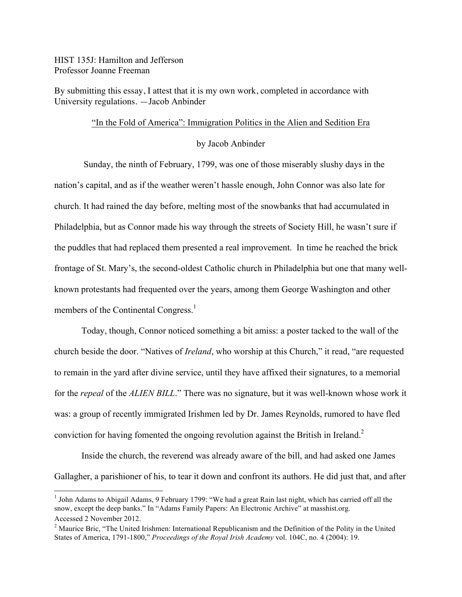HIST 135J: Hamilton and Jefferson Professor Joanne Freeman

By submitting this essay, I attest that it is my own work, completed in accordance with University regulations. —Jacob Anbinder

## "In the Fold of America": Immigration Politics in the Alien and Sedition Era

## by Jacob Anbinder

Sunday, the ninth of February, 1799, was one of those miserably slushy days in the nation's capital, and as if the weather weren't hassle enough, John Connor was also late for church. It had rained the day before, melting most of the snowbanks that had accumulated in Philadelphia, but as Connor made his way through the streets of Society Hill, he wasn't sure if the puddles that had replaced them presented a real improvement. In time he reached the brick frontage of St. Mary's, the second-oldest Catholic church in Philadelphia but one that many wellknown protestants had frequented over the years, among them George Washington and other members of the Continental Congress.<sup>1</sup>

Today, though, Connor noticed something a bit amiss: a poster tacked to the wall of the church beside the door. "Natives of *Ireland*, who worship at this Church," it read, "are requested to remain in the yard after divine service, until they have affixed their signatures, to a memorial for the *repeal* of the *ALIEN BILL*." There was no signature, but it was well-known whose work it was: a group of recently immigrated Irishmen led by Dr. James Reynolds, rumored to have fled conviction for having fomented the ongoing revolution against the British in Ireland.<sup>2</sup>

Inside the church, the reverend was already aware of the bill, and had asked one James Gallagher, a parishioner of his, to tear it down and confront its authors. He did just that, and after

<sup>&</sup>lt;sup>1</sup> John Adams to Abigail Adams, 9 February 1799: "We had a great Rain last night, which has carried off all the snow, except the deep banks." In "Adams Family Papers: An Electronic Archive" at masshist.org. Accessed 2 November 2012.

<sup>&</sup>lt;sup>2</sup> Maurice Bric, "The United Irishmen: International Republicanism and the Definition of the Polity in the United States of America, 1791-1800," *Proceedings of the Royal Irish Academy* vol. 104C, no. 4 (2004): 19.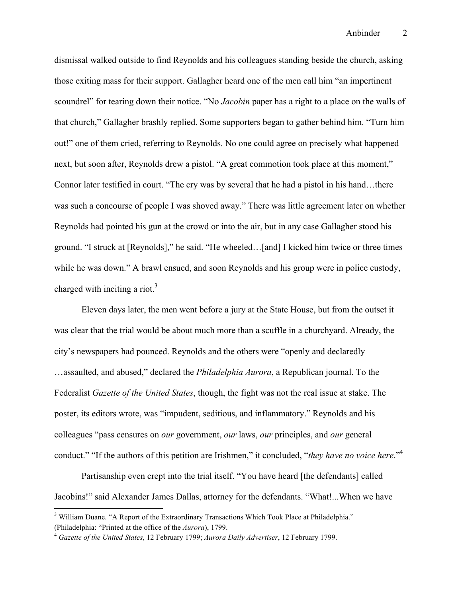dismissal walked outside to find Reynolds and his colleagues standing beside the church, asking those exiting mass for their support. Gallagher heard one of the men call him "an impertinent scoundrel" for tearing down their notice. "No *Jacobin* paper has a right to a place on the walls of that church," Gallagher brashly replied. Some supporters began to gather behind him. "Turn him out!" one of them cried, referring to Reynolds. No one could agree on precisely what happened next, but soon after, Reynolds drew a pistol. "A great commotion took place at this moment," Connor later testified in court. "The cry was by several that he had a pistol in his hand…there was such a concourse of people I was shoved away." There was little agreement later on whether Reynolds had pointed his gun at the crowd or into the air, but in any case Gallagher stood his ground. "I struck at [Reynolds]," he said. "He wheeled…[and] I kicked him twice or three times while he was down." A brawl ensued, and soon Reynolds and his group were in police custody, charged with inciting a riot.<sup>3</sup>

Eleven days later, the men went before a jury at the State House, but from the outset it was clear that the trial would be about much more than a scuffle in a churchyard. Already, the city's newspapers had pounced. Reynolds and the others were "openly and declaredly …assaulted, and abused," declared the *Philadelphia Aurora*, a Republican journal. To the Federalist *Gazette of the United States*, though, the fight was not the real issue at stake. The poster, its editors wrote, was "impudent, seditious, and inflammatory." Reynolds and his colleagues "pass censures on *our* government, *our* laws, *our* principles, and *our* general conduct." "If the authors of this petition are Irishmen," it concluded, "*they have no voice here*."4

Partisanship even crept into the trial itself. "You have heard [the defendants] called Jacobins!" said Alexander James Dallas, attorney for the defendants. "What!...When we have

<sup>&</sup>lt;sup>3</sup> William Duane. "A Report of the Extraordinary Transactions Which Took Place at Philadelphia." (Philadelphia: "Printed at the office of the *Aurora*), 1799.

<sup>4</sup> *Gazette of the United States*, 12 February 1799; *Aurora Daily Advertiser*, 12 February 1799.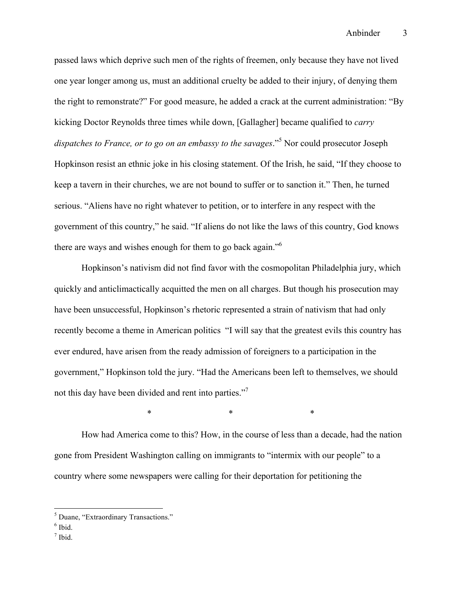passed laws which deprive such men of the rights of freemen, only because they have not lived one year longer among us, must an additional cruelty be added to their injury, of denying them the right to remonstrate?" For good measure, he added a crack at the current administration: "By kicking Doctor Reynolds three times while down, [Gallagher] became qualified to *carry dispatches to France, or to go on an embassy to the savages*."5 Nor could prosecutor Joseph Hopkinson resist an ethnic joke in his closing statement. Of the Irish, he said, "If they choose to keep a tavern in their churches, we are not bound to suffer or to sanction it." Then, he turned serious. "Aliens have no right whatever to petition, or to interfere in any respect with the government of this country," he said. "If aliens do not like the laws of this country, God knows there are ways and wishes enough for them to go back again."<sup>6</sup>

Hopkinson's nativism did not find favor with the cosmopolitan Philadelphia jury, which quickly and anticlimactically acquitted the men on all charges. But though his prosecution may have been unsuccessful, Hopkinson's rhetoric represented a strain of nativism that had only recently become a theme in American politics "I will say that the greatest evils this country has ever endured, have arisen from the ready admission of foreigners to a participation in the government," Hopkinson told the jury. "Had the Americans been left to themselves, we should not this day have been divided and rent into parties."<sup>7</sup>

 $*$  \*  $*$  \*  $*$ 

How had America come to this? How, in the course of less than a decade, had the nation gone from President Washington calling on immigrants to "intermix with our people" to a country where some newspapers were calling for their deportation for petitioning the

 <sup>5</sup> Duane, "Extraordinary Transactions."

 $<sup>6</sup>$  Ibid.</sup>

 $<sup>7</sup>$  Ibid.</sup>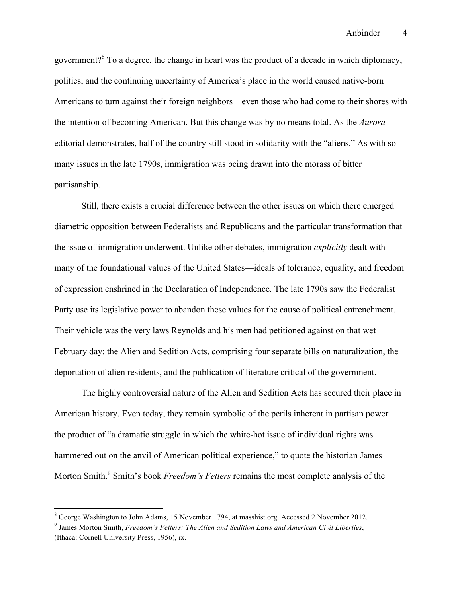government?<sup>8</sup> To a degree, the change in heart was the product of a decade in which diplomacy, politics, and the continuing uncertainty of America's place in the world caused native-born Americans to turn against their foreign neighbors—even those who had come to their shores with the intention of becoming American. But this change was by no means total. As the *Aurora* editorial demonstrates, half of the country still stood in solidarity with the "aliens." As with so many issues in the late 1790s, immigration was being drawn into the morass of bitter partisanship.

Still, there exists a crucial difference between the other issues on which there emerged diametric opposition between Federalists and Republicans and the particular transformation that the issue of immigration underwent. Unlike other debates, immigration *explicitly* dealt with many of the foundational values of the United States—ideals of tolerance, equality, and freedom of expression enshrined in the Declaration of Independence. The late 1790s saw the Federalist Party use its legislative power to abandon these values for the cause of political entrenchment. Their vehicle was the very laws Reynolds and his men had petitioned against on that wet February day: the Alien and Sedition Acts, comprising four separate bills on naturalization, the deportation of alien residents, and the publication of literature critical of the government.

The highly controversial nature of the Alien and Sedition Acts has secured their place in American history. Even today, they remain symbolic of the perils inherent in partisan power the product of "a dramatic struggle in which the white-hot issue of individual rights was hammered out on the anvil of American political experience," to quote the historian James Morton Smith.<sup>9</sup> Smith's book *Freedom's Fetters* remains the most complete analysis of the

 <sup>8</sup> George Washington to John Adams, 15 November 1794, at masshist.org. Accessed 2 November 2012.

<sup>9</sup> James Morton Smith, *Freedom's Fetters: The Alien and Sedition Laws and American Civil Liberties*, (Ithaca: Cornell University Press, 1956), ix.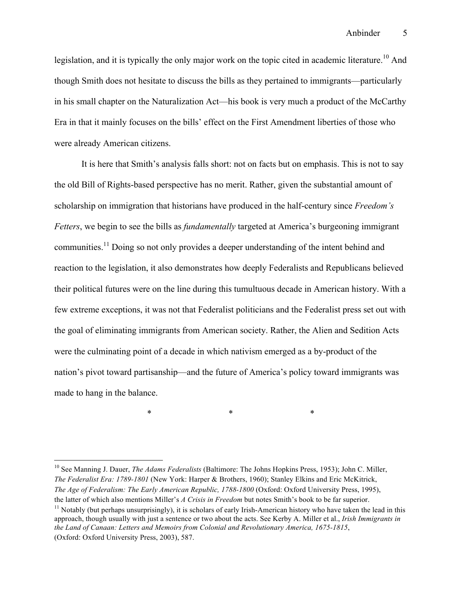legislation, and it is typically the only major work on the topic cited in academic literature.<sup>10</sup> And though Smith does not hesitate to discuss the bills as they pertained to immigrants—particularly in his small chapter on the Naturalization Act—his book is very much a product of the McCarthy Era in that it mainly focuses on the bills' effect on the First Amendment liberties of those who were already American citizens.

It is here that Smith's analysis falls short: not on facts but on emphasis. This is not to say the old Bill of Rights-based perspective has no merit. Rather, given the substantial amount of scholarship on immigration that historians have produced in the half-century since *Freedom's Fetters*, we begin to see the bills as *fundamentally* targeted at America's burgeoning immigrant communities.<sup>11</sup> Doing so not only provides a deeper understanding of the intent behind and reaction to the legislation, it also demonstrates how deeply Federalists and Republicans believed their political futures were on the line during this tumultuous decade in American history. With a few extreme exceptions, it was not that Federalist politicians and the Federalist press set out with the goal of eliminating immigrants from American society. Rather, the Alien and Sedition Acts were the culminating point of a decade in which nativism emerged as a by-product of the nation's pivot toward partisanship—and the future of America's policy toward immigrants was made to hang in the balance.

 $*$  \*  $*$  \*  $*$ 

 <sup>10</sup> See Manning J. Dauer, *The Adams Federalists* (Baltimore: The Johns Hopkins Press, 1953); John C. Miller, *The Federalist Era: 1789-1801* (New York: Harper & Brothers, 1960); Stanley Elkins and Eric McKitrick, *The Age of Federalism: The Early American Republic, 1788-1800* (Oxford: Oxford University Press, 1995), the latter of which also mentions Miller's *A Crisis in Freedom* but notes Smith's book to be far superior.

<sup>&</sup>lt;sup>11</sup> Notably (but perhaps unsurprisingly), it is scholars of early Irish-American history who have taken the lead in this approach, though usually with just a sentence or two about the acts. See Kerby A. Miller et al., *Irish Immigrants in the Land of Canaan: Letters and Memoirs from Colonial and Revolutionary America, 1675-1815*, (Oxford: Oxford University Press, 2003), 587.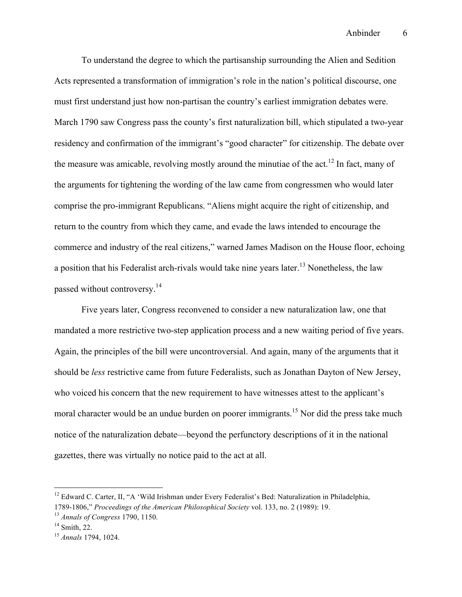To understand the degree to which the partisanship surrounding the Alien and Sedition Acts represented a transformation of immigration's role in the nation's political discourse, one must first understand just how non-partisan the country's earliest immigration debates were. March 1790 saw Congress pass the county's first naturalization bill, which stipulated a two-year residency and confirmation of the immigrant's "good character" for citizenship. The debate over the measure was amicable, revolving mostly around the minutiae of the act.<sup>12</sup> In fact, many of the arguments for tightening the wording of the law came from congressmen who would later comprise the pro-immigrant Republicans. "Aliens might acquire the right of citizenship, and return to the country from which they came, and evade the laws intended to encourage the commerce and industry of the real citizens," warned James Madison on the House floor, echoing a position that his Federalist arch-rivals would take nine years later.<sup>13</sup> Nonetheless, the law passed without controversy.<sup>14</sup>

Five years later, Congress reconvened to consider a new naturalization law, one that mandated a more restrictive two-step application process and a new waiting period of five years. Again, the principles of the bill were uncontroversial. And again, many of the arguments that it should be *less* restrictive came from future Federalists, such as Jonathan Dayton of New Jersey, who voiced his concern that the new requirement to have witnesses attest to the applicant's moral character would be an undue burden on poorer immigrants.<sup>15</sup> Nor did the press take much notice of the naturalization debate—beyond the perfunctory descriptions of it in the national gazettes, there was virtually no notice paid to the act at all.

<sup>&</sup>lt;sup>12</sup> Edward C. Carter, II, "A 'Wild Irishman under Every Federalist's Bed: Naturalization in Philadelphia, 1789-1806," *Proceedings of the American Philosophical Society* vol. 133, no. 2 (1989): 19.

<sup>13</sup> *Annals of Congress* 1790, 1150.

 $14$  Smith, 22.

<sup>15</sup> *Annals* 1794, 1024.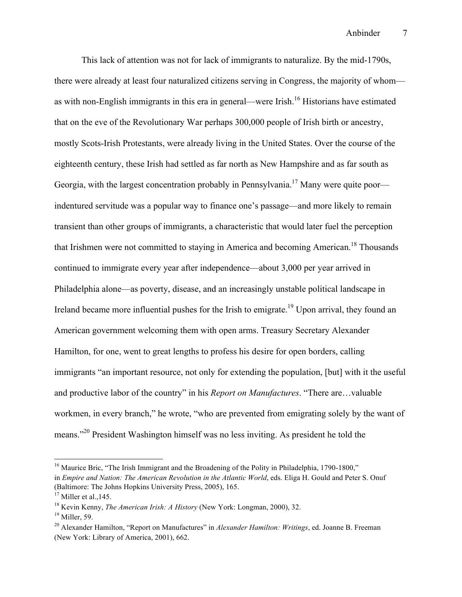This lack of attention was not for lack of immigrants to naturalize. By the mid-1790s, there were already at least four naturalized citizens serving in Congress, the majority of whom as with non-English immigrants in this era in general—were Irish.<sup>16</sup> Historians have estimated that on the eve of the Revolutionary War perhaps 300,000 people of Irish birth or ancestry, mostly Scots-Irish Protestants, were already living in the United States. Over the course of the eighteenth century, these Irish had settled as far north as New Hampshire and as far south as Georgia, with the largest concentration probably in Pennsylvania.<sup>17</sup> Many were quite poor indentured servitude was a popular way to finance one's passage—and more likely to remain transient than other groups of immigrants, a characteristic that would later fuel the perception that Irishmen were not committed to staying in America and becoming American.<sup>18</sup> Thousands continued to immigrate every year after independence—about 3,000 per year arrived in Philadelphia alone—as poverty, disease, and an increasingly unstable political landscape in Ireland became more influential pushes for the Irish to emigrate.<sup>19</sup> Upon arrival, they found an American government welcoming them with open arms. Treasury Secretary Alexander Hamilton, for one, went to great lengths to profess his desire for open borders, calling immigrants "an important resource, not only for extending the population, [but] with it the useful and productive labor of the country" in his *Report on Manufactures*. "There are…valuable workmen, in every branch," he wrote, "who are prevented from emigrating solely by the want of means."20 President Washington himself was no less inviting. As president he told the

<sup>&</sup>lt;sup>16</sup> Maurice Bric, "The Irish Immigrant and the Broadening of the Polity in Philadelphia, 1790-1800,"

in *Empire and Nation: The American Revolution in the Atlantic World*, eds. Eliga H. Gould and Peter S. Onuf (Baltimore: The Johns Hopkins University Press, 2005), 165.

 $17$  Miller et al., 145.

<sup>18</sup> Kevin Kenny, *The American Irish: A History* (New York: Longman, 2000), 32.

 $19$  Miller, 59.

<sup>20</sup> Alexander Hamilton, "Report on Manufactures" in *Alexander Hamilton: Writings*, ed. Joanne B. Freeman (New York: Library of America, 2001), 662.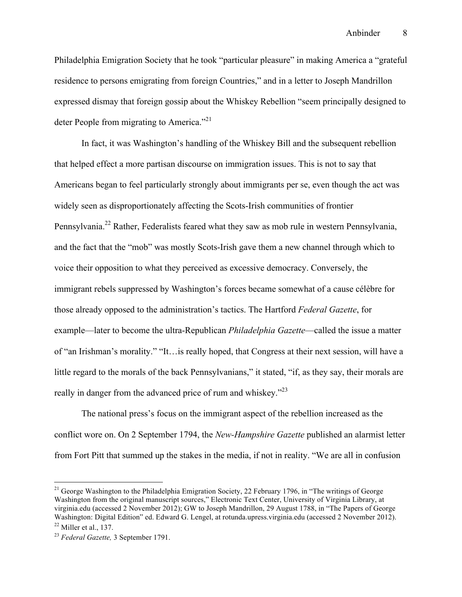Philadelphia Emigration Society that he took "particular pleasure" in making America a "grateful residence to persons emigrating from foreign Countries," and in a letter to Joseph Mandrillon expressed dismay that foreign gossip about the Whiskey Rebellion "seem principally designed to deter People from migrating to America."<sup>21</sup>

In fact, it was Washington's handling of the Whiskey Bill and the subsequent rebellion that helped effect a more partisan discourse on immigration issues. This is not to say that Americans began to feel particularly strongly about immigrants per se, even though the act was widely seen as disproportionately affecting the Scots-Irish communities of frontier Pennsylvania.<sup>22</sup> Rather, Federalists feared what they saw as mob rule in western Pennsylvania, and the fact that the "mob" was mostly Scots-Irish gave them a new channel through which to voice their opposition to what they perceived as excessive democracy. Conversely, the immigrant rebels suppressed by Washington's forces became somewhat of a cause célèbre for those already opposed to the administration's tactics. The Hartford *Federal Gazette*, for example—later to become the ultra-Republican *Philadelphia Gazette*—called the issue a matter of "an Irishman's morality." "It…is really hoped, that Congress at their next session, will have a little regard to the morals of the back Pennsylvanians," it stated, "if, as they say, their morals are really in danger from the advanced price of rum and whiskey."<sup>23</sup>

The national press's focus on the immigrant aspect of the rebellion increased as the conflict wore on. On 2 September 1794, the *New-Hampshire Gazette* published an alarmist letter from Fort Pitt that summed up the stakes in the media, if not in reality. "We are all in confusion

 $21$  George Washington to the Philadelphia Emigration Society, 22 February 1796, in "The writings of George Washington from the original manuscript sources," Electronic Text Center, University of Virginia Library, at virginia.edu (accessed 2 November 2012); GW to Joseph Mandrillon, 29 August 1788, in "The Papers of George Washington: Digital Edition" ed. Edward G. Lengel, at rotunda.upress.virginia.edu (accessed 2 November 2012).  $22$  Miller et al., 137.

<sup>23</sup> *Federal Gazette,* 3 September 1791.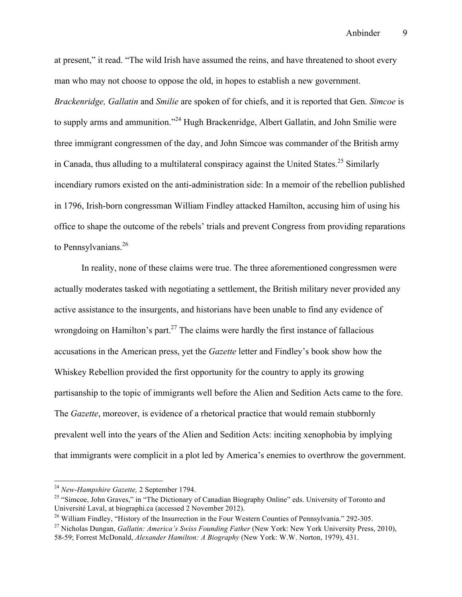at present," it read. "The wild Irish have assumed the reins, and have threatened to shoot every man who may not choose to oppose the old, in hopes to establish a new government. *Brackenridge, Gallatin* and *Smilie* are spoken of for chiefs, and it is reported that Gen. *Simcoe* is to supply arms and ammunition."<sup>24</sup> Hugh Brackenridge, Albert Gallatin, and John Smilie were three immigrant congressmen of the day, and John Simcoe was commander of the British army in Canada, thus alluding to a multilateral conspiracy against the United States.<sup>25</sup> Similarly incendiary rumors existed on the anti-administration side: In a memoir of the rebellion published in 1796, Irish-born congressman William Findley attacked Hamilton, accusing him of using his office to shape the outcome of the rebels' trials and prevent Congress from providing reparations to Pennsylvanians.<sup>26</sup>

In reality, none of these claims were true. The three aforementioned congressmen were actually moderates tasked with negotiating a settlement, the British military never provided any active assistance to the insurgents, and historians have been unable to find any evidence of wrongdoing on Hamilton's part.<sup>27</sup> The claims were hardly the first instance of fallacious accusations in the American press, yet the *Gazette* letter and Findley's book show how the Whiskey Rebellion provided the first opportunity for the country to apply its growing partisanship to the topic of immigrants well before the Alien and Sedition Acts came to the fore. The *Gazette*, moreover, is evidence of a rhetorical practice that would remain stubbornly prevalent well into the years of the Alien and Sedition Acts: inciting xenophobia by implying that immigrants were complicit in a plot led by America's enemies to overthrow the government.

 <sup>24</sup> *New-Hampshire Gazette,* 2 September 1794.

<sup>&</sup>lt;sup>25</sup> "Simcoe, John Graves," in "The Dictionary of Canadian Biography Online" eds. University of Toronto and Université Laval, at biographi.ca (accessed 2 November 2012).

<sup>&</sup>lt;sup>26</sup> William Findley, "History of the Insurrection in the Four Western Counties of Pennsylvania." 292-305.

<sup>27</sup> Nicholas Dungan, *Gallatin: America's Swiss Founding Father* (New York: New York University Press, 2010), 58-59; Forrest McDonald, *Alexander Hamilton: A Biography* (New York: W.W. Norton, 1979), 431.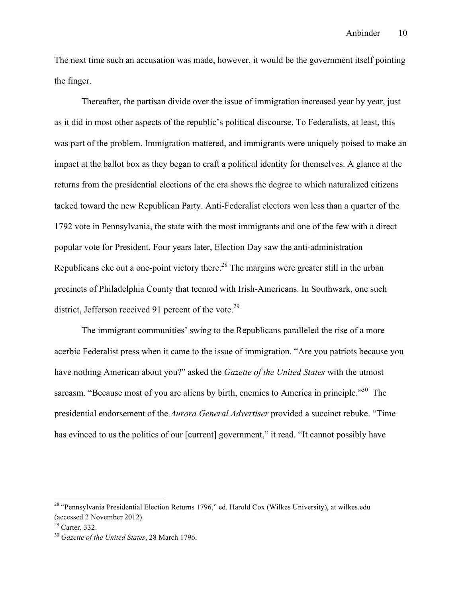The next time such an accusation was made, however, it would be the government itself pointing the finger.

Thereafter, the partisan divide over the issue of immigration increased year by year, just as it did in most other aspects of the republic's political discourse. To Federalists, at least, this was part of the problem. Immigration mattered, and immigrants were uniquely poised to make an impact at the ballot box as they began to craft a political identity for themselves. A glance at the returns from the presidential elections of the era shows the degree to which naturalized citizens tacked toward the new Republican Party. Anti-Federalist electors won less than a quarter of the 1792 vote in Pennsylvania, the state with the most immigrants and one of the few with a direct popular vote for President. Four years later, Election Day saw the anti-administration Republicans eke out a one-point victory there.<sup>28</sup> The margins were greater still in the urban precincts of Philadelphia County that teemed with Irish-Americans. In Southwark, one such district, Jefferson received 91 percent of the vote.<sup>29</sup>

The immigrant communities' swing to the Republicans paralleled the rise of a more acerbic Federalist press when it came to the issue of immigration. "Are you patriots because you have nothing American about you?" asked the *Gazette of the United States* with the utmost sarcasm. "Because most of you are aliens by birth, enemies to America in principle."<sup>30</sup> The presidential endorsement of the *Aurora General Advertiser* provided a succinct rebuke. "Time has evinced to us the politics of our [current] government," it read. "It cannot possibly have

<sup>&</sup>lt;sup>28</sup> "Pennsylvania Presidential Election Returns 1796," ed. Harold Cox (Wilkes University), at wilkes.edu (accessed 2 November 2012).

 $29$  Carter, 332.

<sup>30</sup> *Gazette of the United States*, 28 March 1796.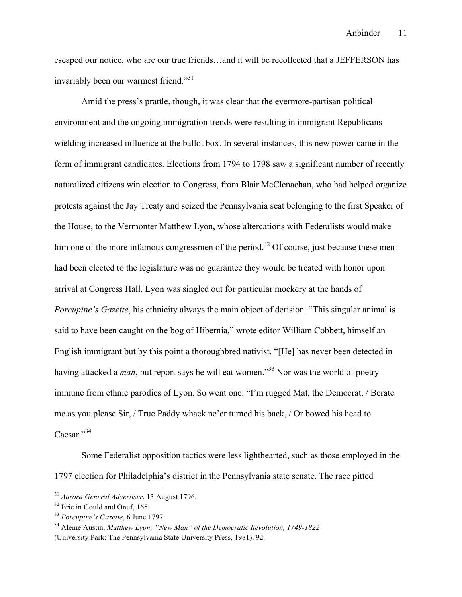escaped our notice, who are our true friends…and it will be recollected that a JEFFERSON has invariably been our warmest friend."31

Amid the press's prattle, though, it was clear that the evermore-partisan political environment and the ongoing immigration trends were resulting in immigrant Republicans wielding increased influence at the ballot box. In several instances, this new power came in the form of immigrant candidates. Elections from 1794 to 1798 saw a significant number of recently naturalized citizens win election to Congress, from Blair McClenachan, who had helped organize protests against the Jay Treaty and seized the Pennsylvania seat belonging to the first Speaker of the House, to the Vermonter Matthew Lyon, whose altercations with Federalists would make him one of the more infamous congressmen of the period.<sup>32</sup> Of course, just because these men had been elected to the legislature was no guarantee they would be treated with honor upon arrival at Congress Hall. Lyon was singled out for particular mockery at the hands of *Porcupine's Gazette*, his ethnicity always the main object of derision. "This singular animal is said to have been caught on the bog of Hibernia," wrote editor William Cobbett, himself an English immigrant but by this point a thoroughbred nativist. "[He] has never been detected in having attacked a *man*, but report says he will eat women."<sup>33</sup> Nor was the world of poetry immune from ethnic parodies of Lyon. So went one: "I'm rugged Mat, the Democrat, / Berate me as you please Sir, / True Paddy whack ne'er turned his back, / Or bowed his head to Caesar."<sup>34</sup>

Some Federalist opposition tactics were less lighthearted, such as those employed in the 1797 election for Philadelphia's district in the Pennsylvania state senate. The race pitted

 <sup>31</sup> *Aurora General Advertiser*, 13 August 1796.

<sup>&</sup>lt;sup>32</sup> Bric in Gould and Onuf, 165.

<sup>33</sup> *Porcupine's Gazette*, 6 June 1797.

<sup>34</sup> Aleine Austin, *Matthew Lyon: "New Man" of the Democratic Revolution, 1749-1822* (University Park: The Pennsylvania State University Press, 1981), 92.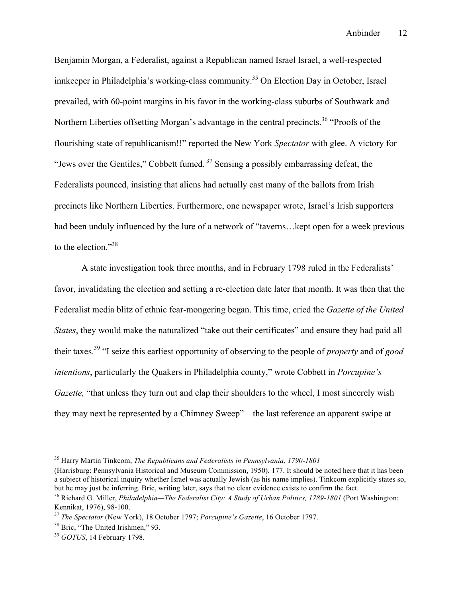Benjamin Morgan, a Federalist, against a Republican named Israel Israel, a well-respected innkeeper in Philadelphia's working-class community.<sup>35</sup> On Election Day in October, Israel prevailed, with 60-point margins in his favor in the working-class suburbs of Southwark and Northern Liberties offsetting Morgan's advantage in the central precincts.<sup>36</sup> "Proofs of the flourishing state of republicanism!!" reported the New York *Spectator* with glee. A victory for "Jews over the Gentiles," Cobbett fumed.<sup>37</sup> Sensing a possibly embarrassing defeat, the Federalists pounced, insisting that aliens had actually cast many of the ballots from Irish precincts like Northern Liberties. Furthermore, one newspaper wrote, Israel's Irish supporters had been unduly influenced by the lure of a network of "taverns... kept open for a week previous to the election."<sup>38</sup>

A state investigation took three months, and in February 1798 ruled in the Federalists' favor, invalidating the election and setting a re-election date later that month. It was then that the Federalist media blitz of ethnic fear-mongering began. This time, cried the *Gazette of the United States*, they would make the naturalized "take out their certificates" and ensure they had paid all their taxes.39 "I seize this earliest opportunity of observing to the people of *property* and of *good intentions*, particularly the Quakers in Philadelphia county," wrote Cobbett in *Porcupine's Gazette*, "that unless they turn out and clap their shoulders to the wheel, I most sincerely wish they may next be represented by a Chimney Sweep"—the last reference an apparent swipe at

 <sup>35</sup> Harry Martin Tinkcom, *The Republicans and Federalists in Pennsylvania, 1790-1801*

<sup>(</sup>Harrisburg: Pennsylvania Historical and Museum Commission, 1950), 177. It should be noted here that it has been a subject of historical inquiry whether Israel was actually Jewish (as his name implies). Tinkcom explicitly states so, but he may just be inferring. Bric, writing later, says that no clear evidence exists to confirm the fact.

<sup>36</sup> Richard G. Miller, *Philadelphia—The Federalist City: A Study of Urban Politics, 1789-1801* (Port Washington: Kennikat, 1976), 98-100.

<sup>37</sup> *The Spectator* (New York), 18 October 1797; *Porcupine's Gazette*, 16 October 1797.

<sup>&</sup>lt;sup>38</sup> Bric, "The United Irishmen," 93.

<sup>39</sup> *GOTUS*, 14 February 1798.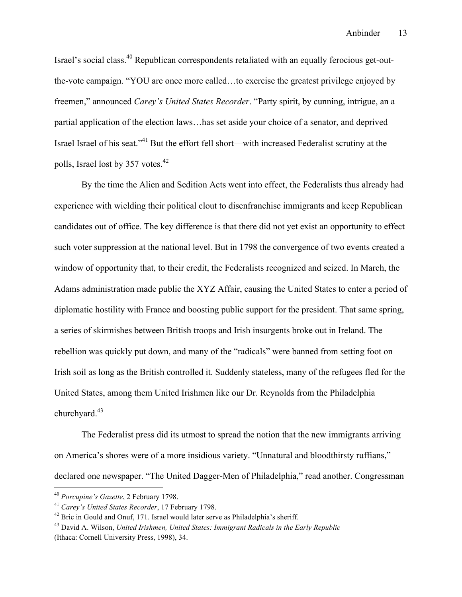Israel's social class.40 Republican correspondents retaliated with an equally ferocious get-outthe-vote campaign. "YOU are once more called…to exercise the greatest privilege enjoyed by freemen," announced *Carey's United States Recorder*. "Party spirit, by cunning, intrigue, an a partial application of the election laws…has set aside your choice of a senator, and deprived Israel Israel of his seat."<sup>41</sup> But the effort fell short—with increased Federalist scrutiny at the polls, Israel lost by 357 votes.<sup>42</sup>

By the time the Alien and Sedition Acts went into effect, the Federalists thus already had experience with wielding their political clout to disenfranchise immigrants and keep Republican candidates out of office. The key difference is that there did not yet exist an opportunity to effect such voter suppression at the national level. But in 1798 the convergence of two events created a window of opportunity that, to their credit, the Federalists recognized and seized. In March, the Adams administration made public the XYZ Affair, causing the United States to enter a period of diplomatic hostility with France and boosting public support for the president. That same spring, a series of skirmishes between British troops and Irish insurgents broke out in Ireland. The rebellion was quickly put down, and many of the "radicals" were banned from setting foot on Irish soil as long as the British controlled it. Suddenly stateless, many of the refugees fled for the United States, among them United Irishmen like our Dr. Reynolds from the Philadelphia churchyard. $43$ 

The Federalist press did its utmost to spread the notion that the new immigrants arriving on America's shores were of a more insidious variety. "Unnatural and bloodthirsty ruffians," declared one newspaper. "The United Dagger-Men of Philadelphia," read another. Congressman

 <sup>40</sup> *Porcupine's Gazette*, 2 February 1798.

<sup>41</sup> *Carey's United States Recorder*, 17 February 1798.

<sup>&</sup>lt;sup>42</sup> Bric in Gould and Onuf, 171. Israel would later serve as Philadelphia's sheriff.

<sup>43</sup> David A. Wilson, *United Irishmen, United States: Immigrant Radicals in the Early Republic* (Ithaca: Cornell University Press, 1998), 34.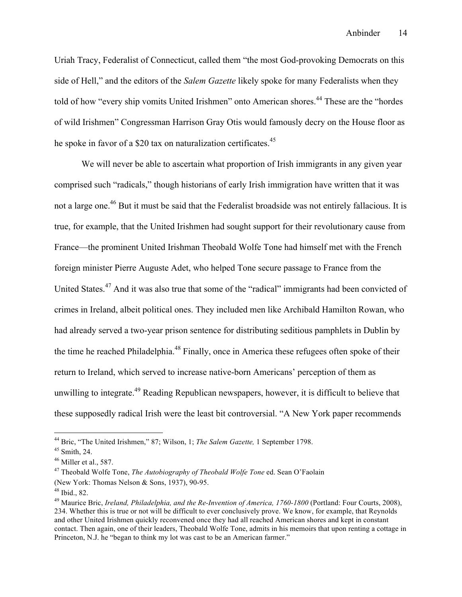Uriah Tracy, Federalist of Connecticut, called them "the most God-provoking Democrats on this side of Hell," and the editors of the *Salem Gazette* likely spoke for many Federalists when they told of how "every ship vomits United Irishmen" onto American shores.<sup>44</sup> These are the "hordes" of wild Irishmen" Congressman Harrison Gray Otis would famously decry on the House floor as he spoke in favor of a \$20 tax on naturalization certificates.<sup>45</sup>

We will never be able to ascertain what proportion of Irish immigrants in any given year comprised such "radicals," though historians of early Irish immigration have written that it was not a large one.<sup>46</sup> But it must be said that the Federalist broadside was not entirely fallacious. It is true, for example, that the United Irishmen had sought support for their revolutionary cause from France—the prominent United Irishman Theobald Wolfe Tone had himself met with the French foreign minister Pierre Auguste Adet, who helped Tone secure passage to France from the United States.<sup>47</sup> And it was also true that some of the "radical" immigrants had been convicted of crimes in Ireland, albeit political ones. They included men like Archibald Hamilton Rowan, who had already served a two-year prison sentence for distributing seditious pamphlets in Dublin by the time he reached Philadelphia.<sup>48</sup> Finally, once in America these refugees often spoke of their return to Ireland, which served to increase native-born Americans' perception of them as unwilling to integrate.<sup>49</sup> Reading Republican newspapers, however, it is difficult to believe that these supposedly radical Irish were the least bit controversial. "A New York paper recommends

 <sup>44</sup> Bric, "The United Irishmen," 87; Wilson, 1; *The Salem Gazette,* 1 September 1798.

 $45$  Smith, 24.

 $46$  Miller et al., 587.

<sup>47</sup> Theobald Wolfe Tone, *The Autobiography of Theobald Wolfe Tone* ed. Sean O'Faolain (New York: Thomas Nelson & Sons, 1937), 90-95.

 $48$  Ibid., 82.

<sup>49</sup> Maurice Bric, *Ireland, Philadelphia, and the Re-Invention of America, 1760-1800* (Portland: Four Courts, 2008), 234. Whether this is true or not will be difficult to ever conclusively prove. We know, for example, that Reynolds and other United Irishmen quickly reconvened once they had all reached American shores and kept in constant contact. Then again, one of their leaders, Theobald Wolfe Tone, admits in his memoirs that upon renting a cottage in Princeton, N.J. he "began to think my lot was cast to be an American farmer."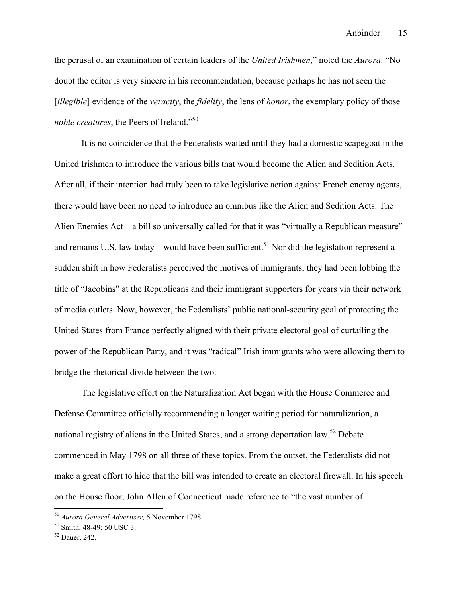the perusal of an examination of certain leaders of the *United Irishmen*," noted the *Aurora*. "No doubt the editor is very sincere in his recommendation, because perhaps he has not seen the [*illegible*] evidence of the *veracity*, the *fidelity*, the lens of *honor*, the exemplary policy of those *noble creatures*, the Peers of Ireland."<sup>50</sup>

It is no coincidence that the Federalists waited until they had a domestic scapegoat in the United Irishmen to introduce the various bills that would become the Alien and Sedition Acts. After all, if their intention had truly been to take legislative action against French enemy agents, there would have been no need to introduce an omnibus like the Alien and Sedition Acts. The Alien Enemies Act—a bill so universally called for that it was "virtually a Republican measure" and remains U.S. law today—would have been sufficient.<sup>51</sup> Nor did the legislation represent a sudden shift in how Federalists perceived the motives of immigrants; they had been lobbing the title of "Jacobins" at the Republicans and their immigrant supporters for years via their network of media outlets. Now, however, the Federalists' public national-security goal of protecting the United States from France perfectly aligned with their private electoral goal of curtailing the power of the Republican Party, and it was "radical" Irish immigrants who were allowing them to bridge the rhetorical divide between the two.

The legislative effort on the Naturalization Act began with the House Commerce and Defense Committee officially recommending a longer waiting period for naturalization, a national registry of aliens in the United States, and a strong deportation law.<sup>52</sup> Debate commenced in May 1798 on all three of these topics. From the outset, the Federalists did not make a great effort to hide that the bill was intended to create an electoral firewall. In his speech on the House floor, John Allen of Connecticut made reference to "the vast number of

 <sup>50</sup> *Aurora General Advertiser,* 5 November 1798.

<sup>51</sup> Smith, 48-49; 50 USC 3.

<sup>52</sup> Dauer, 242.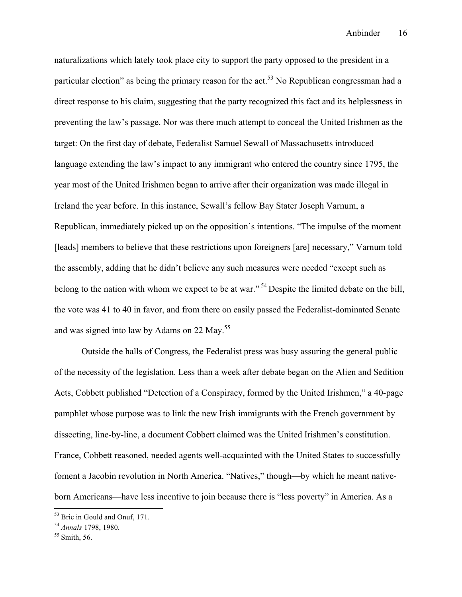naturalizations which lately took place city to support the party opposed to the president in a particular election" as being the primary reason for the act.<sup>53</sup> No Republican congressman had a direct response to his claim, suggesting that the party recognized this fact and its helplessness in preventing the law's passage. Nor was there much attempt to conceal the United Irishmen as the target: On the first day of debate, Federalist Samuel Sewall of Massachusetts introduced language extending the law's impact to any immigrant who entered the country since 1795, the year most of the United Irishmen began to arrive after their organization was made illegal in Ireland the year before. In this instance, Sewall's fellow Bay Stater Joseph Varnum, a Republican, immediately picked up on the opposition's intentions. "The impulse of the moment [leads] members to believe that these restrictions upon foreigners [are] necessary," Varnum told the assembly, adding that he didn't believe any such measures were needed "except such as belong to the nation with whom we expect to be at war."<sup>54</sup> Despite the limited debate on the bill, the vote was 41 to 40 in favor, and from there on easily passed the Federalist-dominated Senate and was signed into law by Adams on 22 May.<sup>55</sup>

Outside the halls of Congress, the Federalist press was busy assuring the general public of the necessity of the legislation. Less than a week after debate began on the Alien and Sedition Acts, Cobbett published "Detection of a Conspiracy, formed by the United Irishmen," a 40-page pamphlet whose purpose was to link the new Irish immigrants with the French government by dissecting, line-by-line, a document Cobbett claimed was the United Irishmen's constitution. France, Cobbett reasoned, needed agents well-acquainted with the United States to successfully foment a Jacobin revolution in North America. "Natives," though—by which he meant nativeborn Americans—have less incentive to join because there is "less poverty" in America. As a

 <sup>53</sup> Bric in Gould and Onuf, 171.

<sup>54</sup> *Annals* 1798, 1980.

 $55$  Smith, 56.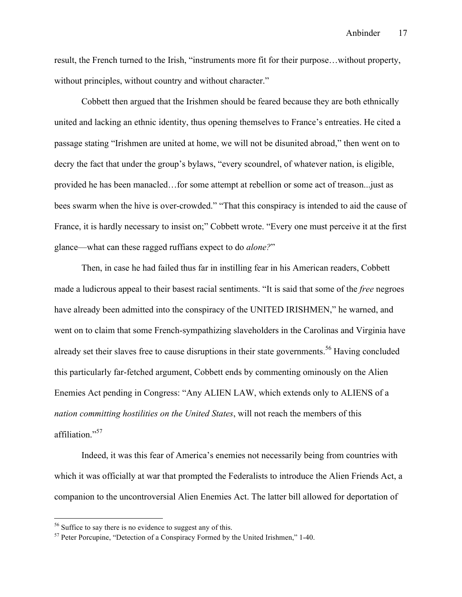result, the French turned to the Irish, "instruments more fit for their purpose…without property, without principles, without country and without character."

Cobbett then argued that the Irishmen should be feared because they are both ethnically united and lacking an ethnic identity, thus opening themselves to France's entreaties. He cited a passage stating "Irishmen are united at home, we will not be disunited abroad," then went on to decry the fact that under the group's bylaws, "every scoundrel, of whatever nation, is eligible, provided he has been manacled…for some attempt at rebellion or some act of treason...just as bees swarm when the hive is over-crowded." "That this conspiracy is intended to aid the cause of France, it is hardly necessary to insist on;" Cobbett wrote. "Every one must perceive it at the first glance—what can these ragged ruffians expect to do *alone?*"

Then, in case he had failed thus far in instilling fear in his American readers, Cobbett made a ludicrous appeal to their basest racial sentiments. "It is said that some of the *free* negroes have already been admitted into the conspiracy of the UNITED IRISHMEN," he warned, and went on to claim that some French-sympathizing slaveholders in the Carolinas and Virginia have already set their slaves free to cause disruptions in their state governments.<sup>56</sup> Having concluded this particularly far-fetched argument, Cobbett ends by commenting ominously on the Alien Enemies Act pending in Congress: "Any ALIEN LAW, which extends only to ALIENS of a *nation committing hostilities on the United States*, will not reach the members of this affiliation."<sup>57</sup>

Indeed, it was this fear of America's enemies not necessarily being from countries with which it was officially at war that prompted the Federalists to introduce the Alien Friends Act, a companion to the uncontroversial Alien Enemies Act. The latter bill allowed for deportation of

<sup>&</sup>lt;sup>56</sup> Suffice to say there is no evidence to suggest any of this.

 $57$  Peter Porcupine, "Detection of a Conspiracy Formed by the United Irishmen," 1-40.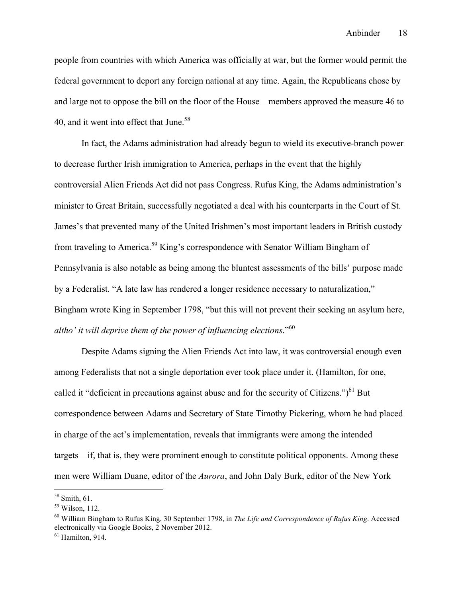people from countries with which America was officially at war, but the former would permit the federal government to deport any foreign national at any time. Again, the Republicans chose by and large not to oppose the bill on the floor of the House—members approved the measure 46 to 40, and it went into effect that June.<sup>58</sup>

In fact, the Adams administration had already begun to wield its executive-branch power to decrease further Irish immigration to America, perhaps in the event that the highly controversial Alien Friends Act did not pass Congress. Rufus King, the Adams administration's minister to Great Britain, successfully negotiated a deal with his counterparts in the Court of St. James's that prevented many of the United Irishmen's most important leaders in British custody from traveling to America.<sup>59</sup> King's correspondence with Senator William Bingham of Pennsylvania is also notable as being among the bluntest assessments of the bills' purpose made by a Federalist. "A late law has rendered a longer residence necessary to naturalization," Bingham wrote King in September 1798, "but this will not prevent their seeking an asylum here, *altho' it will deprive them of the power of influencing elections*."<sup>60</sup>

Despite Adams signing the Alien Friends Act into law, it was controversial enough even among Federalists that not a single deportation ever took place under it. (Hamilton, for one, called it "deficient in precautions against abuse and for the security of Citizens.") $^{61}$  But correspondence between Adams and Secretary of State Timothy Pickering, whom he had placed in charge of the act's implementation, reveals that immigrants were among the intended targets—if, that is, they were prominent enough to constitute political opponents. Among these men were William Duane, editor of the *Aurora*, and John Daly Burk, editor of the New York

 <sup>58</sup> Smith, 61.

 $59$  Wilson, 112.

<sup>60</sup> William Bingham to Rufus King, 30 September 1798, in *The Life and Correspondence of Rufus King*. Accessed electronically via Google Books, 2 November 2012.

 $<sup>61</sup>$  Hamilton, 914.</sup>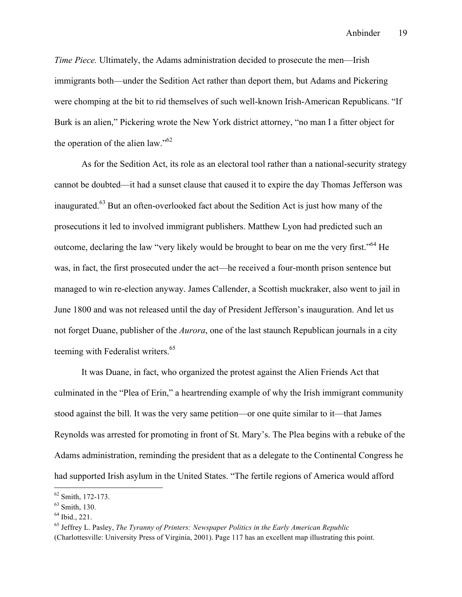*Time Piece.* Ultimately, the Adams administration decided to prosecute the men—Irish immigrants both—under the Sedition Act rather than deport them, but Adams and Pickering were chomping at the bit to rid themselves of such well-known Irish-American Republicans. "If Burk is an alien," Pickering wrote the New York district attorney, "no man I a fitter object for the operation of the alien law."62

As for the Sedition Act, its role as an electoral tool rather than a national-security strategy cannot be doubted—it had a sunset clause that caused it to expire the day Thomas Jefferson was inaugurated.<sup>63</sup> But an often-overlooked fact about the Sedition Act is just how many of the prosecutions it led to involved immigrant publishers. Matthew Lyon had predicted such an outcome, declaring the law "very likely would be brought to bear on me the very first."64 He was, in fact, the first prosecuted under the act—he received a four-month prison sentence but managed to win re-election anyway. James Callender, a Scottish muckraker, also went to jail in June 1800 and was not released until the day of President Jefferson's inauguration. And let us not forget Duane, publisher of the *Aurora*, one of the last staunch Republican journals in a city teeming with Federalist writers.<sup>65</sup>

It was Duane, in fact, who organized the protest against the Alien Friends Act that culminated in the "Plea of Erin," a heartrending example of why the Irish immigrant community stood against the bill. It was the very same petition—or one quite similar to it—that James Reynolds was arrested for promoting in front of St. Mary's. The Plea begins with a rebuke of the Adams administration, reminding the president that as a delegate to the Continental Congress he had supported Irish asylum in the United States. "The fertile regions of America would afford

 <sup>62</sup> Smith, 172-173.

<sup>63</sup> Smith, 130.

 $64$  Ibid., 221.

<sup>65</sup> Jeffrey L. Pasley, *The Tyranny of Printers: Newspaper Politics in the Early American Republic* (Charlottesville: University Press of Virginia, 2001). Page 117 has an excellent map illustrating this point.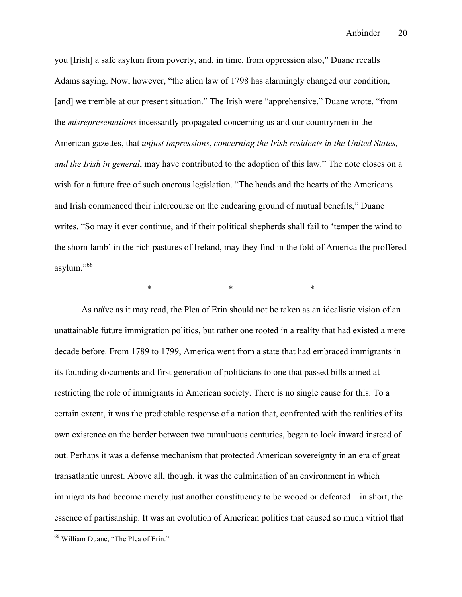Anbinder 20

you [Irish] a safe asylum from poverty, and, in time, from oppression also," Duane recalls Adams saying. Now, however, "the alien law of 1798 has alarmingly changed our condition, [and] we tremble at our present situation." The Irish were "apprehensive," Duane wrote, "from the *misrepresentations* incessantly propagated concerning us and our countrymen in the American gazettes, that *unjust impressions*, *concerning the Irish residents in the United States, and the Irish in general*, may have contributed to the adoption of this law." The note closes on a wish for a future free of such onerous legislation. "The heads and the hearts of the Americans and Irish commenced their intercourse on the endearing ground of mutual benefits," Duane writes. "So may it ever continue, and if their political shepherds shall fail to 'temper the wind to the shorn lamb' in the rich pastures of Ireland, may they find in the fold of America the proffered asylum."66

 $*$  \*  $*$  \*  $*$ 

As naïve as it may read, the Plea of Erin should not be taken as an idealistic vision of an unattainable future immigration politics, but rather one rooted in a reality that had existed a mere decade before. From 1789 to 1799, America went from a state that had embraced immigrants in its founding documents and first generation of politicians to one that passed bills aimed at restricting the role of immigrants in American society. There is no single cause for this. To a certain extent, it was the predictable response of a nation that, confronted with the realities of its own existence on the border between two tumultuous centuries, began to look inward instead of out. Perhaps it was a defense mechanism that protected American sovereignty in an era of great transatlantic unrest. Above all, though, it was the culmination of an environment in which immigrants had become merely just another constituency to be wooed or defeated—in short, the essence of partisanship. It was an evolution of American politics that caused so much vitriol that

 <sup>66</sup> William Duane, "The Plea of Erin."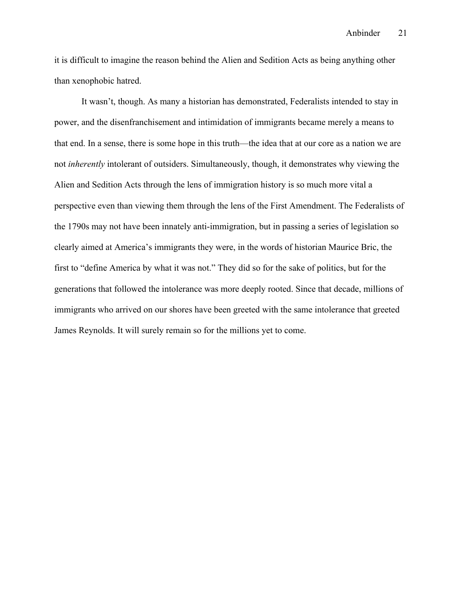it is difficult to imagine the reason behind the Alien and Sedition Acts as being anything other than xenophobic hatred.

It wasn't, though. As many a historian has demonstrated, Federalists intended to stay in power, and the disenfranchisement and intimidation of immigrants became merely a means to that end. In a sense, there is some hope in this truth—the idea that at our core as a nation we are not *inherently* intolerant of outsiders. Simultaneously, though, it demonstrates why viewing the Alien and Sedition Acts through the lens of immigration history is so much more vital a perspective even than viewing them through the lens of the First Amendment. The Federalists of the 1790s may not have been innately anti-immigration, but in passing a series of legislation so clearly aimed at America's immigrants they were, in the words of historian Maurice Bric, the first to "define America by what it was not." They did so for the sake of politics, but for the generations that followed the intolerance was more deeply rooted. Since that decade, millions of immigrants who arrived on our shores have been greeted with the same intolerance that greeted James Reynolds. It will surely remain so for the millions yet to come.